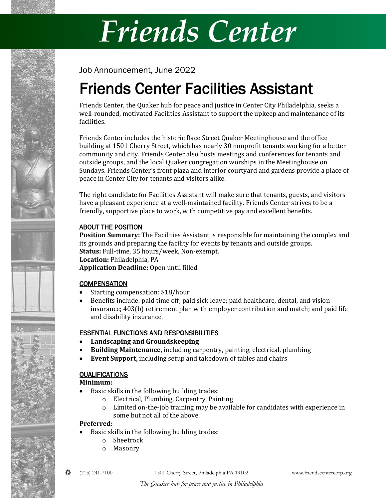# Friends Center

Job Announcement, June 2022

# Friends Center Facilities Assistant

Friends Center, the Quaker hub for peace and justice in Center City Philadelphia, seeks a well-rounded, motivated Facilities Assistant to support the upkeep and maintenance of its facilities.

Friends Center includes the historic Race Street Quaker Meetinghouse and the office building at 1501 Cherry Street, which has nearly 30 nonprofit tenants working for a better community and city. Friends Center also hosts meetings and conferences for tenants and outside groups, and the local Quaker congregation worships in the Meetinghouse on Sundays. Friends Center's front plaza and interior courtyard and gardens provide a place of peace in Center City for tenants and visitors alike.

The right candidate for Facilities Assistant will make sure that tenants, guests, and visitors have a pleasant experience at a well-maintained facility. Friends Center strives to be a friendly, supportive place to work, with competitive pay and excellent benefits.

### ABOUT THE POSITION

**Position Summary:** The Facilities Assistant is responsible for maintaining the complex and its grounds and preparing the facility for events by tenants and outside groups. **Status:** Full-time, 35 hours/week, Non-exempt. **Location:** Philadelphia, PA **Application Deadline:** Open until filled

## **COMPENSATION**

- Starting compensation: \$18/hour
- Benefits include: paid time off; paid sick leave; paid healthcare, dental, and vision insurance; 403(b) retirement plan with employer contribution and match; and paid life and disability insurance.

### ESSENTIAL FUNCTIONS AND RESPONSIBILITIES

- **Landscaping and Groundskeeping**
- **Building Maintenance,** including carpentry, painting, electrical, plumbing
- **Event Support,** including setup and takedown of tables and chairs

### QUALIFICATIONS

**Minimum:**

- Basic skills in the following building trades:
	- o Electrical, Plumbing, Carpentry, Painting
	- $\circ$  Limited on-the-job training may be available for candidates with experience in some but not all of the above.

### **Preferred:**

- Basic skills in the following building trades:
	- o Sheetrock
	- o Masonry



♻ (215) 241-7100 1501 Cherry Street, Philadelphia PA 19102 www.friendscentercorp.org